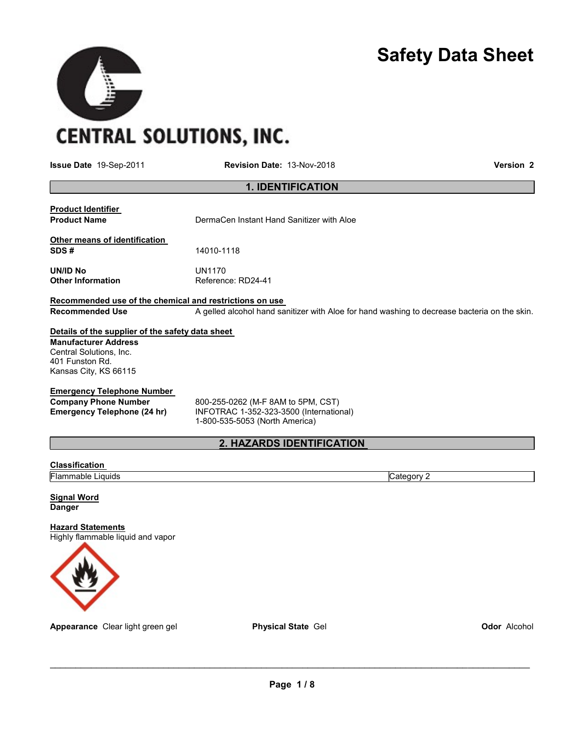# Safety Data Sheet

**CENTRAL SOLUTIONS, INC.** 

 $\blacktriangleright$ 

Issue Date 19-Sep-2011 Revision Date: 13-Nov-2018 Version 2

# 1. IDENTIFICATION

| <b>Product Identifier</b><br><b>Product Name</b>                                                       | DermaCen Instant Hand Sanitizer with Aloe                                                                       |  |  |
|--------------------------------------------------------------------------------------------------------|-----------------------------------------------------------------------------------------------------------------|--|--|
| Other means of identification<br>SDS#                                                                  | 14010-1118                                                                                                      |  |  |
| UN/ID No<br><b>Other Information</b>                                                                   | UN1170<br>Reference: RD24-41                                                                                    |  |  |
| Recommended use of the chemical and restrictions on use                                                |                                                                                                                 |  |  |
| <b>Recommended Use</b>                                                                                 | A gelled alcohol hand sanitizer with Aloe for hand washing to decrease bacteria on the skin.                    |  |  |
| Details of the supplier of the safety data sheet                                                       |                                                                                                                 |  |  |
| <b>Manufacturer Address</b><br>Central Solutions, Inc.<br>401 Funston Rd.<br>Kansas City, KS 66115     |                                                                                                                 |  |  |
| <b>Emergency Telephone Number</b><br><b>Company Phone Number</b><br><b>Emergency Telephone (24 hr)</b> | 800-255-0262 (M-F 8AM to 5PM, CST)<br>INFOTRAC 1-352-323-3500 (International)<br>1-800-535-5053 (North America) |  |  |

# 2. HAZARDS IDENTIFICATION

#### **Classification**

Flammable Liquids Category 2

Signal Word **Danger** 

#### **Hazard Statements**

Highly flammable liquid and vapor



Appearance Clear light green gel **Physical State Gel Contained Accohol** Odor Alcohol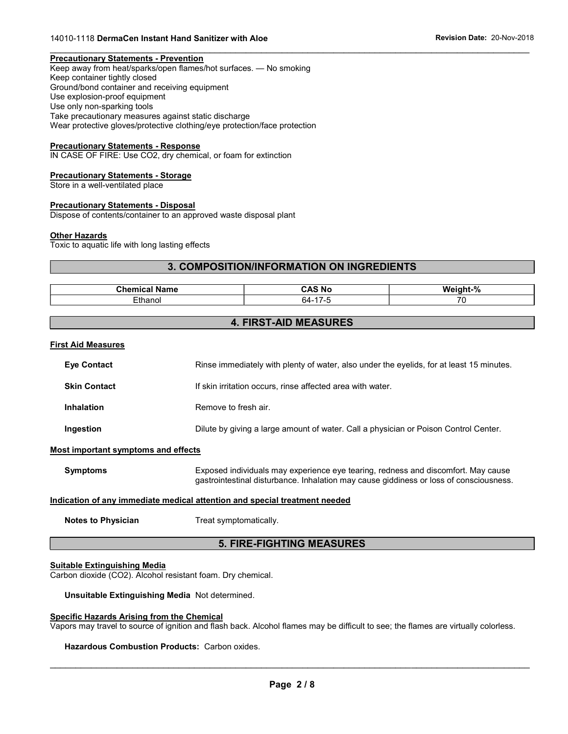#### Precautionary Statements - Prevention

Keep away from heat/sparks/open flames/hot surfaces. — No smoking Keep container tightly closed Ground/bond container and receiving equipment Use explosion-proof equipment Use only non-sparking tools Take precautionary measures against static discharge Wear protective gloves/protective clothing/eye protection/face protection

#### Precautionary Statements - Response

IN CASE OF FIRE: Use CO2, dry chemical, or foam for extinction

#### Precautionary Statements - Storage

Store in a well-ventilated place

#### Precautionary Statements - Disposal

Dispose of contents/container to an approved waste disposal plant

#### **Other Hazards**

Toxic to aquatic life with long lasting effects

#### 3. COMPOSITION/INFORMATION ON INGREDIENTS

 $\mathcal{L}_\mathcal{L} = \{ \mathcal{L}_\mathcal{L} = \{ \mathcal{L}_\mathcal{L} = \{ \mathcal{L}_\mathcal{L} = \{ \mathcal{L}_\mathcal{L} = \{ \mathcal{L}_\mathcal{L} = \{ \mathcal{L}_\mathcal{L} = \{ \mathcal{L}_\mathcal{L} = \{ \mathcal{L}_\mathcal{L} = \{ \mathcal{L}_\mathcal{L} = \{ \mathcal{L}_\mathcal{L} = \{ \mathcal{L}_\mathcal{L} = \{ \mathcal{L}_\mathcal{L} = \{ \mathcal{L}_\mathcal{L} = \{ \mathcal{L}_\mathcal{$ 

| . .<br>Chemical<br>Name | . .<br>.<br>CAS<br>∵ NC         | $\mathbf{a}$<br>We<br>.<br>,,   |
|-------------------------|---------------------------------|---------------------------------|
| *hanol                  | $\overline{\phantom{0}}$<br>n4- | $\overline{\phantom{a}}$<br>. . |

#### 4. FIRST-AID MEASURES

#### First Aid Measures

| <b>Eye Contact</b>  | Rinse immediately with plenty of water, also under the eyelids, for at least 15 minutes. |
|---------------------|------------------------------------------------------------------------------------------|
| <b>Skin Contact</b> | If skin irritation occurs, rinse affected area with water.                               |
| <b>Inhalation</b>   | Remove to fresh air.                                                                     |
| Ingestion           | Dilute by giving a large amount of water. Call a physician or Poison Control Center.     |

#### Most important symptoms and effects

Symptoms Exposed individuals may experience eye tearing, redness and discomfort. May cause gastrointestinal disturbance. Inhalation may cause giddiness or loss of consciousness.

#### Indication of any immediate medical attention and special treatment needed

Notes to Physician Treat symptomatically.

#### 5. FIRE-FIGHTING MEASURES

#### Suitable Extinguishing Media

Carbon dioxide (CO2). Alcohol resistant foam. Dry chemical.

Unsuitable Extinguishing Media Not determined.

#### Specific Hazards Arising from the Chemical

Vapors may travel to source of ignition and flash back. Alcohol flames may be difficult to see; the flames are virtually colorless.

#### Hazardous Combustion Products: Carbon oxides.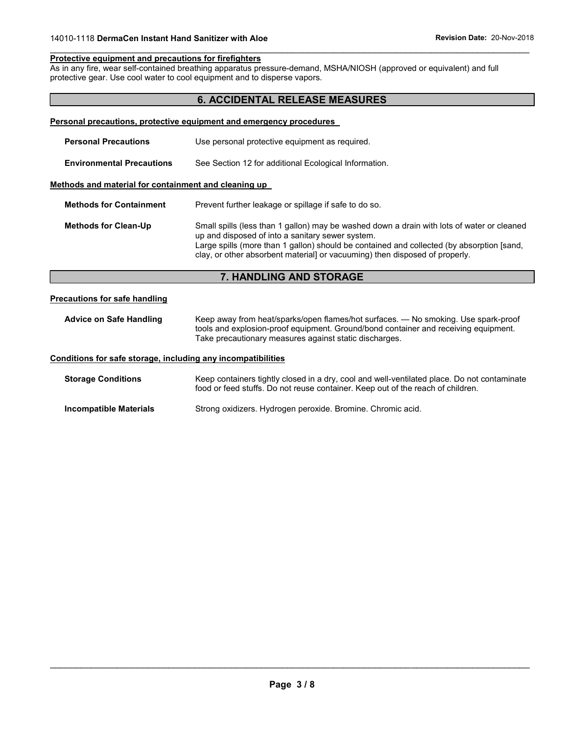#### Protective equipment and precautions for firefighters

As in any fire, wear self-contained breathing apparatus pressure-demand, MSHA/NIOSH (approved or equivalent) and full protective gear. Use cool water to cool equipment and to disperse vapors.

### 6. ACCIDENTAL RELEASE MEASURES

 $\mathcal{L}_\mathcal{L} = \{ \mathcal{L}_\mathcal{L} = \{ \mathcal{L}_\mathcal{L} = \{ \mathcal{L}_\mathcal{L} = \{ \mathcal{L}_\mathcal{L} = \{ \mathcal{L}_\mathcal{L} = \{ \mathcal{L}_\mathcal{L} = \{ \mathcal{L}_\mathcal{L} = \{ \mathcal{L}_\mathcal{L} = \{ \mathcal{L}_\mathcal{L} = \{ \mathcal{L}_\mathcal{L} = \{ \mathcal{L}_\mathcal{L} = \{ \mathcal{L}_\mathcal{L} = \{ \mathcal{L}_\mathcal{L} = \{ \mathcal{L}_\mathcal{$ 

|                                                      | Personal precautions, protective equipment and emergency procedures                                                                                                                                                                                                                                                        |  |  |
|------------------------------------------------------|----------------------------------------------------------------------------------------------------------------------------------------------------------------------------------------------------------------------------------------------------------------------------------------------------------------------------|--|--|
| <b>Personal Precautions</b>                          | Use personal protective equipment as required.                                                                                                                                                                                                                                                                             |  |  |
| <b>Environmental Precautions</b>                     | See Section 12 for additional Ecological Information.                                                                                                                                                                                                                                                                      |  |  |
| Methods and material for containment and cleaning up |                                                                                                                                                                                                                                                                                                                            |  |  |
| <b>Methods for Containment</b>                       | Prevent further leakage or spillage if safe to do so.                                                                                                                                                                                                                                                                      |  |  |
| <b>Methods for Clean-Up</b>                          | Small spills (less than 1 gallon) may be washed down a drain with lots of water or cleaned<br>up and disposed of into a sanitary sewer system.<br>Large spills (more than 1 gallon) should be contained and collected (by absorption [sand,<br>clay, or other absorbent materiall or vacuuming) then disposed of properly. |  |  |

## 7. HANDLING AND STORAGE

#### Precautions for safe handling

Advice on Safe Handling Keep away from heat/sparks/open flames/hot surfaces. — No smoking. Use spark-proof tools and explosion-proof equipment. Ground/bond container and receiving equipment. Take precautionary measures against static discharges.

#### Conditions for safe storage, including any incompatibilities

Storage Conditions Keep containers tightly closed in a dry, cool and well-ventilated place. Do not contaminate food or feed stuffs. Do not reuse container. Keep out of the reach of children. Incompatible Materials Strong oxidizers. Hydrogen peroxide. Bromine. Chromic acid.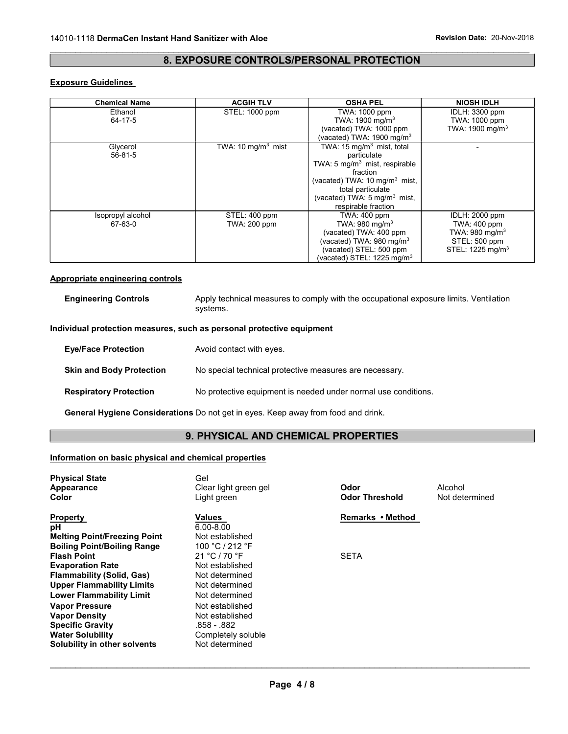#### $\mathcal{L}_\mathcal{L} = \{ \mathcal{L}_\mathcal{L} = \{ \mathcal{L}_\mathcal{L} = \{ \mathcal{L}_\mathcal{L} = \{ \mathcal{L}_\mathcal{L} = \{ \mathcal{L}_\mathcal{L} = \{ \mathcal{L}_\mathcal{L} = \{ \mathcal{L}_\mathcal{L} = \{ \mathcal{L}_\mathcal{L} = \{ \mathcal{L}_\mathcal{L} = \{ \mathcal{L}_\mathcal{L} = \{ \mathcal{L}_\mathcal{L} = \{ \mathcal{L}_\mathcal{L} = \{ \mathcal{L}_\mathcal{L} = \{ \mathcal{L}_\mathcal{$ 8. EXPOSURE CONTROLS/PERSONAL PROTECTION

### Exposure Guidelines

| <b>Chemical Name</b>         | <b>ACGIH TLV</b>                     | <b>OSHA PEL</b>                                                                                                                                                                                                                                 | <b>NIOSH IDLH</b>                                                                                                          |
|------------------------------|--------------------------------------|-------------------------------------------------------------------------------------------------------------------------------------------------------------------------------------------------------------------------------------------------|----------------------------------------------------------------------------------------------------------------------------|
| Ethanol<br>64-17-5           | STEL: 1000 ppm                       | TWA: 1000 ppm<br>TWA: 1900 mg/m <sup>3</sup>                                                                                                                                                                                                    | <b>IDLH: 3300 ppm</b><br>TWA: 1000 ppm                                                                                     |
|                              |                                      | (vacated) TWA: 1000 ppm<br>(vacated) TWA: 1900 mg/m $3$                                                                                                                                                                                         | TWA: 1900 mg/m <sup>3</sup>                                                                                                |
| Glycerol<br>56-81-5          | TWA: 10 mg/m <sup>3</sup> mist       | TWA: $15 \text{ mg/m}^3$ mist, total<br>particulate<br>TWA: $5 \text{ mq/m}^3$ mist, respirable<br>fraction<br>(vacated) TWA: 10 mg/m <sup>3</sup> mist,<br>total particulate<br>(vacated) TWA: $5 \text{ mg/m}^3$ mist,<br>respirable fraction |                                                                                                                            |
| Isopropyl alcohol<br>67-63-0 | STEL: 400 ppm<br><b>TWA: 200 ppm</b> | <b>TWA: 400 ppm</b><br>TWA: $980 \text{ mg/m}^3$<br>(vacated) TWA: 400 ppm<br>(vacated) TWA: 980 mg/m <sup>3</sup><br>(vacated) STEL: 500 ppm<br>(vacated) STEL: 1225 mg/m $^3$                                                                 | <b>IDLH: 2000 ppm</b><br><b>TWA: 400 ppm</b><br>TWA: $980 \text{ mg/m}^3$<br>STEL: 500 ppm<br>STEL: 1225 mg/m <sup>3</sup> |

#### Appropriate engineering controls

Engineering Controls **Apply technical measures to comply with the occupational exposure limits. Ventilation** systems.

#### Individual protection measures, such as personal protective equipment

| <b>Eye/Face Protection</b>      | Avoid contact with eyes.                                       |
|---------------------------------|----------------------------------------------------------------|
| <b>Skin and Body Protection</b> | No special technical protective measures are necessary.        |
| <b>Respiratory Protection</b>   | No protective equipment is needed under normal use conditions. |

General Hygiene Considerations Do not get in eyes. Keep away from food and drink.

# 9. PHYSICAL AND CHEMICAL PROPERTIES

#### Information on basic physical and chemical properties

| <b>Physical State</b>               | Gel                   |                       |                |
|-------------------------------------|-----------------------|-----------------------|----------------|
| Appearance                          | Clear light green gel | Odor                  | Alcohol        |
| Color                               | Light green           | <b>Odor Threshold</b> | Not determined |
| <b>Property</b>                     | Values                | Remarks • Method      |                |
| рH                                  | $6.00 - 8.00$         |                       |                |
| <b>Melting Point/Freezing Point</b> | Not established       |                       |                |
| <b>Boiling Point/Boiling Range</b>  | 100 °C / 212 °F       |                       |                |
| <b>Flash Point</b>                  | 21 °C / 70 °F         | <b>SETA</b>           |                |
| <b>Evaporation Rate</b>             | Not established       |                       |                |
| <b>Flammability (Solid, Gas)</b>    | Not determined        |                       |                |
| <b>Upper Flammability Limits</b>    | Not determined        |                       |                |
| <b>Lower Flammability Limit</b>     | Not determined        |                       |                |
| <b>Vapor Pressure</b>               | Not established       |                       |                |
| <b>Vapor Density</b>                | Not established       |                       |                |
| <b>Specific Gravity</b>             | .858 - .882           |                       |                |
| <b>Water Solubility</b>             | Completely soluble    |                       |                |
| Solubility in other solvents        | Not determined        |                       |                |
|                                     |                       |                       |                |
|                                     |                       |                       |                |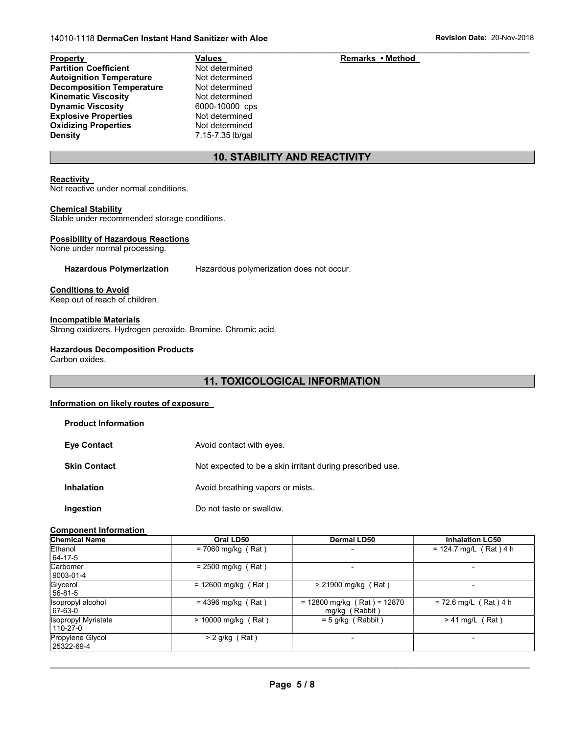#### Partition Coefficient Not determined Autoignition Temperature Not determined Decomposition Temperature Not determined Kinematic Viscosity<br>
Dynamic Viscosity<br>
Dynamic Viscosity<br>
2000-10000 cps Dynamic Viscosity Explosive Properties Not determined Oxidizing Properties Not determined Density 7.15-7.35 lb/gal

#### $\mathcal{L}_\mathcal{L} = \{ \mathcal{L}_\mathcal{L} = \{ \mathcal{L}_\mathcal{L} = \{ \mathcal{L}_\mathcal{L} = \{ \mathcal{L}_\mathcal{L} = \{ \mathcal{L}_\mathcal{L} = \{ \mathcal{L}_\mathcal{L} = \{ \mathcal{L}_\mathcal{L} = \{ \mathcal{L}_\mathcal{L} = \{ \mathcal{L}_\mathcal{L} = \{ \mathcal{L}_\mathcal{L} = \{ \mathcal{L}_\mathcal{L} = \{ \mathcal{L}_\mathcal{L} = \{ \mathcal{L}_\mathcal{L} = \{ \mathcal{L}_\mathcal{$ Property **Contract Contract Contract Values** Contract Contract Remarks • Method

# 10. STABILITY AND REACTIVITY

#### **Reactivity**

Not reactive under normal conditions.

#### Chemical Stability

Stable under recommended storage conditions.

#### Possibility of Hazardous Reactions

None under normal processing.

Hazardous Polymerization Hazardous polymerization does not occur.

#### Conditions to Avoid

Keep out of reach of children.

#### Incompatible Materials

Strong oxidizers. Hydrogen peroxide. Bromine. Chromic acid.

#### Hazardous Decomposition Products

Carbon oxides.

#### 11. TOXICOLOGICAL INFORMATION

#### Information on likely routes of exposure

| <b>Product Information</b> |                                                           |
|----------------------------|-----------------------------------------------------------|
| <b>Eye Contact</b>         | Avoid contact with eyes.                                  |
| <b>Skin Contact</b>        | Not expected to be a skin irritant during prescribed use. |
| <b>Inhalation</b>          | Avoid breathing vapors or mists.                          |
| Ingestion                  | Do not taste or swallow.                                  |

#### Component Information

| <b>Chemical Name</b>                   | Oral LD50             | <b>Dermal LD50</b>                              | <b>Inhalation LC50</b>   |
|----------------------------------------|-----------------------|-------------------------------------------------|--------------------------|
| Ethanol<br>64-17-5                     | $= 7060$ mg/kg (Rat)  |                                                 | $= 124.7$ mg/L (Rat) 4 h |
| Carbomer<br>9003-01-4                  | $= 2500$ mg/kg (Rat)  | $\overline{\phantom{0}}$                        |                          |
| Glycerol<br>56-81-5                    | $= 12600$ mg/kg (Rat) | $> 21900$ mg/kg (Rat)                           |                          |
| Isopropyl alcohol<br>67-63-0           | $= 4396$ mg/kg (Rat)  | $= 12800$ mg/kg (Rat) = 12870<br>mg/kg (Rabbit) | $= 72.6$ mg/L (Rat) 4 h  |
| <b>Isopropyl Myristate</b><br>110-27-0 | $> 10000$ mg/kg (Rat) | $= 5$ g/kg (Rabbit)                             | $> 41$ mg/L (Rat)        |
| Propylene Glycol<br>25322-69-4         | $> 2$ g/kg (Rat)      |                                                 |                          |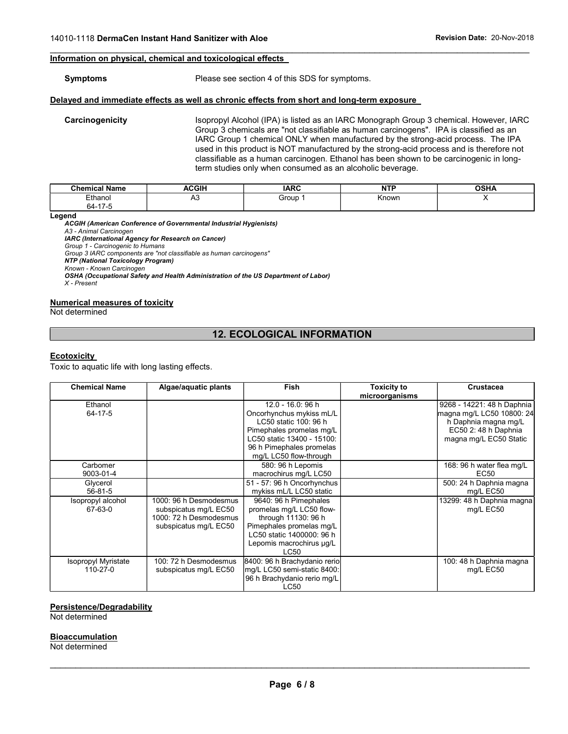#### Information on physical, chemical and toxicological effects

#### Symptoms Please see section 4 of this SDS for symptoms.

#### Delayed and immediate effects as well as chronic effects from short and long-term exposure

Carcinogenicity **Interpretatal Isopropyl Alcohol (IPA)** is listed as an IARC Monograph Group 3 chemical. However, IARC Group 3 chemicals are "not classifiable as human carcinogens". IPA is classified as an IARC Group 1 chemical ONLY when manufactured by the strong-acid process. The IPA used in this product is NOT manufactured by the strong-acid process and is therefore not classifiable as a human carcinogen. Ethanol has been shown to be carcinogenic in longterm studies only when consumed as an alcoholic beverage.

| ' Name<br>Chemical. | <b>ACGIH</b> | <b>IARC</b> | .     | <b>OCU</b><br>אח טי |
|---------------------|--------------|-------------|-------|---------------------|
| <b>Ethano</b>       | ่∼           | Group       | Known |                     |
| . –<br>64-          |              |             |       |                     |

 $\mathcal{L}_\mathcal{L} = \{ \mathcal{L}_\mathcal{L} = \{ \mathcal{L}_\mathcal{L} = \{ \mathcal{L}_\mathcal{L} = \{ \mathcal{L}_\mathcal{L} = \{ \mathcal{L}_\mathcal{L} = \{ \mathcal{L}_\mathcal{L} = \{ \mathcal{L}_\mathcal{L} = \{ \mathcal{L}_\mathcal{L} = \{ \mathcal{L}_\mathcal{L} = \{ \mathcal{L}_\mathcal{L} = \{ \mathcal{L}_\mathcal{L} = \{ \mathcal{L}_\mathcal{L} = \{ \mathcal{L}_\mathcal{L} = \{ \mathcal{L}_\mathcal{$ 

Legend

ACGIH (American Conference of Governmental Industrial Hygienists) A3 - Animal Carcinogen IARC (International Agency for Research on Cancer) Group 1 - Carcinogenic to Humans Group 3 IARC components are "not classifiable as human carcinogens" NTP (National Toxicology Program) Known - Known Carcinogen OSHA (Occupational Safety and Health Administration of the US Department of Labor) X - Present

#### Numerical measures of toxicity

Not determined

### 12. ECOLOGICAL INFORMATION

#### **Ecotoxicity**

Toxic to aquatic life with long lasting effects.

| <b>Chemical Name</b>                                                           | Algae/aquatic plants                                                                               | <b>Fish</b>                                                                                                                                                                                                                                                          | <b>Toxicity to</b> | Crustacea                                                                                                                         |
|--------------------------------------------------------------------------------|----------------------------------------------------------------------------------------------------|----------------------------------------------------------------------------------------------------------------------------------------------------------------------------------------------------------------------------------------------------------------------|--------------------|-----------------------------------------------------------------------------------------------------------------------------------|
| Ethanol<br>64-17-5                                                             |                                                                                                    | 12.0 - 16.0: 96 h<br>Oncorhynchus mykiss mL/L<br>LC50 static 100: 96 h<br>Pimephales promelas mg/L<br>LC50 static 13400 - 15100:<br>96 h Pimephales promelas<br>mg/L LC50 flow-through                                                                               | microorganisms     | 9268 - 14221: 48 h Daphnia<br>magna mg/L LC50 10800: 24<br>h Daphnia magna mg/L<br>EC50 2: 48 h Daphnia<br>magna mg/L EC50 Static |
| Carbomer<br>9003-01-4<br>Glycerol<br>$56-81-5$<br>Isopropyl alcohol<br>67-63-0 | 1000: 96 h Desmodesmus<br>subspicatus mg/L EC50<br>1000: 72 h Desmodesmus<br>subspicatus mg/L EC50 | 580: 96 h Lepomis<br>macrochirus mg/L LC50<br>51 - 57: 96 h Oncorhynchus<br>mykiss mL/L LC50 static<br>9640: 96 h Pimephales<br>promelas mg/L LC50 flow-<br>through 11130: 96 h<br>Pimephales promelas mg/L<br>LC50 static 1400000: 96 h<br>Lepomis macrochirus µg/L |                    | 168: 96 h water flea mg/L<br>EC <sub>50</sub><br>500: 24 h Daphnia magna<br>mg/L EC50<br>13299: 48 h Daphnia magna<br>mg/L EC50   |
| Isopropyl Myristate<br>$110 - 27 - 0$                                          | 100: 72 h Desmodesmus<br>subspicatus mg/L EC50                                                     | LC50<br>8400: 96 h Brachydanio rerio<br>mg/L LC50 semi-static 8400:<br>96 h Brachydanio rerio mg/L<br>LC50                                                                                                                                                           |                    | 100: 48 h Daphnia magna<br>mg/L EC50                                                                                              |

#### Persistence/Degradability

Not determined

#### **Bioaccumulation**

Not determined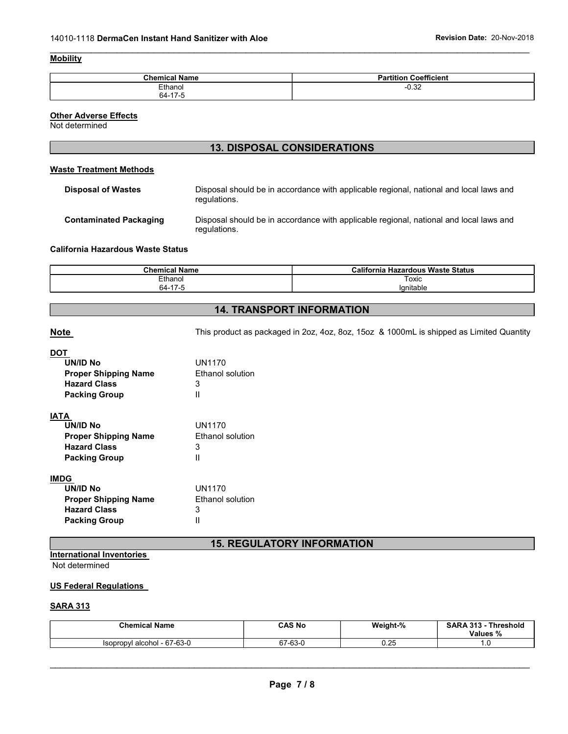#### **Mobility**

| <b>Chemical Name</b> | Coefficient<br>Partition |
|----------------------|--------------------------|
| Ethanol              | $-0.32$                  |
| 64-17-5              |                          |

 $\mathcal{L}_\mathcal{L} = \{ \mathcal{L}_\mathcal{L} = \{ \mathcal{L}_\mathcal{L} = \{ \mathcal{L}_\mathcal{L} = \{ \mathcal{L}_\mathcal{L} = \{ \mathcal{L}_\mathcal{L} = \{ \mathcal{L}_\mathcal{L} = \{ \mathcal{L}_\mathcal{L} = \{ \mathcal{L}_\mathcal{L} = \{ \mathcal{L}_\mathcal{L} = \{ \mathcal{L}_\mathcal{L} = \{ \mathcal{L}_\mathcal{L} = \{ \mathcal{L}_\mathcal{L} = \{ \mathcal{L}_\mathcal{L} = \{ \mathcal{L}_\mathcal{$ 

#### **Other Adverse Effects**

Not determined

# 13. DISPOSAL CONSIDERATIONS

#### Waste Treatment Methods

| Disposal of Wastes     | Disposal should be in accordance with applicable regional, national and local laws and<br>regulations. |
|------------------------|--------------------------------------------------------------------------------------------------------|
| Contaminated Packaging | Disposal should be in accordance with applicable regional, national and local laws and<br>regulations. |

#### California Hazardous Waste Status

| - - -<br>Chemic.<br>N:<br> | <b>Californi:</b><br>ızardous Waste Status<br>п<br>онна |
|----------------------------|---------------------------------------------------------|
| <b>Ethanol</b>             | Toxic                                                   |
| 64-                        | lanitable                                               |

# 14. TRANSPORT INFORMATION

Note Note This product as packaged in 2oz, 4oz, 8oz, 15oz & 1000mL is shipped as Limited Quantity

### **DOT**

| UN/ID No<br><b>Proper Shipping Name</b><br><b>Hazard Class</b><br><b>Packing Group</b> | UN1170<br><b>Ethanol solution</b><br>3<br>Ш |
|----------------------------------------------------------------------------------------|---------------------------------------------|
| IATA                                                                                   |                                             |
| UN/ID No                                                                               | UN1170                                      |
| <b>Proper Shipping Name</b>                                                            | <b>Fthanol solution</b>                     |
| <b>Hazard Class</b>                                                                    | 3                                           |
| <b>Packing Group</b>                                                                   | Ш                                           |
| IMDG                                                                                   |                                             |
| UN/ID No                                                                               | UN1170                                      |
| <b>Proper Shipping Name</b>                                                            | <b>Ethanol solution</b>                     |
| <b>Hazard Class</b>                                                                    | З                                           |
| <b>Packing Group</b>                                                                   |                                             |

# 15. REGULATORY INFORMATION

# International Inventories

Not determined

#### US Federal Regulations

#### SARA 313

| <b>Chemical Name</b>                    | CAS No  | Weight-% | <b>SARA 313</b><br><b>Threshold</b><br>Values % |
|-----------------------------------------|---------|----------|-------------------------------------------------|
| l alcohol - 67-63-0<br><b>Isopropyl</b> | 67-63-0 | 0.25     | .U                                              |